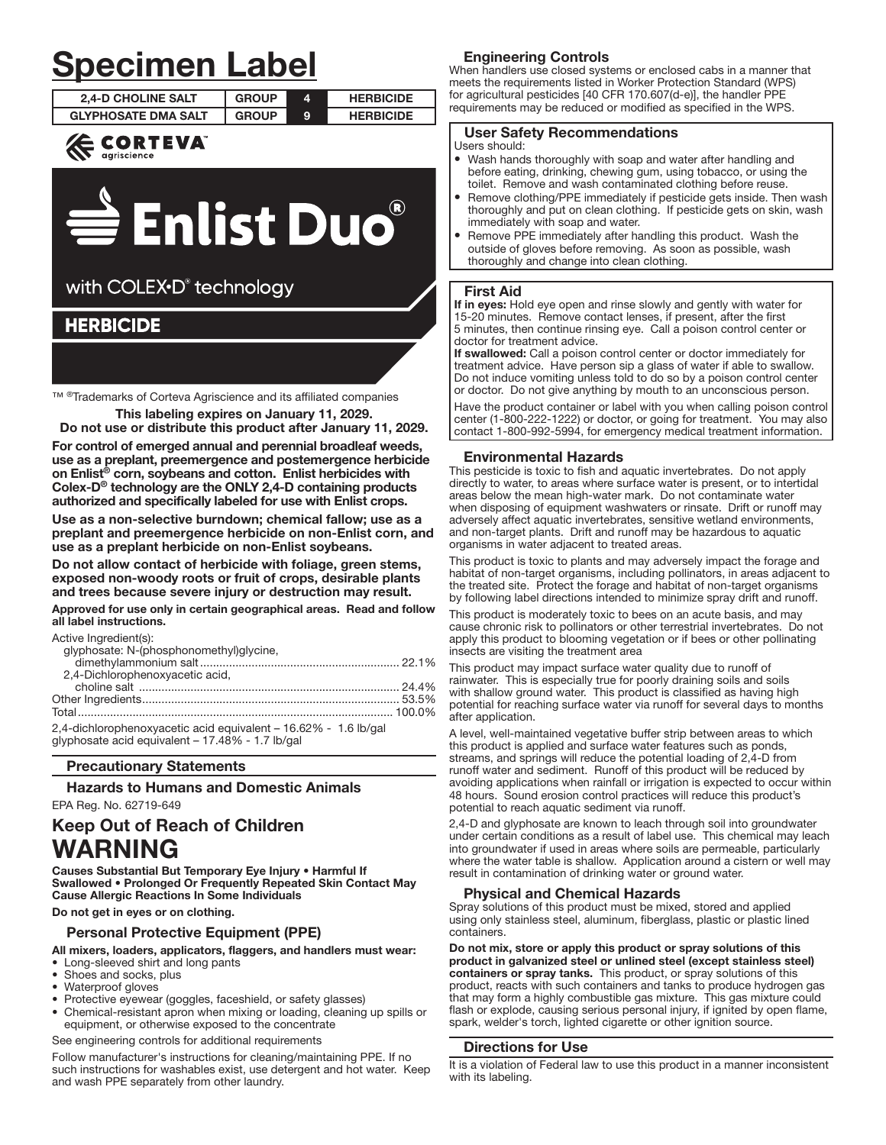# **Specimen Label**

| <b>2.4-D CHOLINE SALT</b>  | <b>GROUP</b> | <b>HERBICIDE</b> |
|----------------------------|--------------|------------------|
| <b>GLYPHOSATE DMA SALT</b> | GROUP        | <b>HERBICIDE</b> |
|                            |              |                  |





# with COLEX<sup>+</sup>D<sup>®</sup> technology

## **HERBICIDE**

TM ®Trademarks of Corteva Agriscience and its affiliated companies

This labeling expires on January 11, 2029. Do not use or distribute this product after January 11, 2029.

For control of emerged annual and perennial broadleaf weeds,

use as a preplant, preemergence and postemergence herbicide on Enlist® corn, soybeans and cotton. Enlist herbicides with Colex- $D^{\circledcirc}$  technology are the ONLY 2,4-D containing products authorized and specifically labeled for use with Enlist crops.

Use as a non-selective burndown: chemical fallow: use as a preplant and preemergence herbicide on non-Enlist corn, and use as a preplant herbicide on non-Enlist soybeans.

Do not allow contact of herbicide with foliage, green stems, exposed non-woody roots or fruit of crops, desirable plants and trees because severe injury or destruction may result.

Approved for use only in certain geographical areas. Read and follow all label instructions.

Active Ingredient(s):

| glyphosate: N-(phosphonomethyl)glycine,                |  |
|--------------------------------------------------------|--|
|                                                        |  |
| 2,4-Dichlorophenoxyacetic acid,                        |  |
|                                                        |  |
|                                                        |  |
|                                                        |  |
| 0.4 dichlorophonomic poid causalent 10.000/ 1.0 lb/and |  |

2,4-dichlorophenoxyacetic acid equivalent - 16.62% - 1.6 lb/gal glyphosate acid equivalent - 17.48% - 1.7 lb/gal

## **Precautionary Statements**

**Hazards to Humans and Domestic Animals** EPA Reg. No. 62719-649

# **Keep Out of Reach of Children** WARNING

Causes Substantial But Temporary Eve Injury . Harmful If Swallowed . Prolonged Or Frequently Repeated Skin Contact May **Cause Allergic Reactions In Some Individuals** 

Do not get in eyes or on clothing.

## **Personal Protective Equipment (PPE)**

All mixers, loaders, applicators, flaggers, and handlers must wear:

- Long-sleeved shirt and long pants
- Shoes and socks, plus
- Waterproof gloves
- Protective eyewear (goggles, faceshield, or safety glasses) Chemical-resistant apron when mixing or loading, cleaning up spills or
- equipment, or otherwise exposed to the concentrate

See engineering controls for additional requirements

Follow manufacturer's instructions for cleaning/maintaining PPE. If no such instructions for washables exist, use detergent and hot water. Keep and wash PPE separately from other laundry.

## **Engineering Controls**

When handlers use closed systems or enclosed cabs in a manner that meets the requirements listed in Worker Protection Standard (WPS) for agricultural pesticides [40 CFR 170.607(d-e)], the handler PPE requirements may be reduced or modified as specified in the WPS.

## **User Safety Recommendations**

Users should:

- Wash hands thoroughly with soap and water after handling and before eating, drinking, chewing gum, using tobacco, or using the toilet. Remove and wash contaminated clothing before reuse.
- Remove clothing/PPE immediately if pesticide gets inside. Then wash thoroughly and put on clean clothing. If pesticide gets on skin, wash immediately with soap and water.
- Remove PPE immediately after handling this product. Wash the outside of gloves before removing. As soon as possible, wash thoroughly and change into clean clothing.

## **First Aid**

If in eyes: Hold eye open and rinse slowly and gently with water for 15-20 minutes. Remove contact lenses, if present, after the first 5 minutes, then continue rinsing eye. Call a poison control center or doctor for treatment advice.

If swallowed: Call a poison control center or doctor immediately for treatment advice. Have person sip a glass of water if able to swallow. Do not induce vomiting unless told to do so by a poison control center or doctor. Do not give anything by mouth to an unconscious person.

Have the product container or label with you when calling poison control center (1-800-222-1222) or doctor, or going for treatment. You may also contact 1-800-992-5994, for emergency medical treatment information.

## **Environmental Hazards**

This pesticide is toxic to fish and aquatic invertebrates. Do not apply directly to water, to areas where surface water is present, or to intertidal areas below the mean high-water mark. Do not contaminate water when disposing of equipment washwaters or rinsate. Drift or runoff may adversely affect aquatic invertebrates, sensitive wetland environments, and non-target plants. Drift and runoff may be hazardous to aquatic organisms in water adjacent to treated areas.

This product is toxic to plants and may adversely impact the forage and habitat of non-target organisms, including pollinators, in areas adjacent to the treated site. Protect the forage and habitat of non-target organisms by following label directions intended to minimize spray drift and runoff.

This product is moderately toxic to bees on an acute basis, and may cause chronic risk to pollinators or other terrestrial invertebrates. Do not apply this product to blooming vegetation or if bees or other pollinating insects are visiting the treatment area

This product may impact surface water quality due to runoff of rainwater. This is especially true for poorly draining soils and soils with shallow ground water. This product is classified as having high potential for reaching surface water via runoff for several days to months after application.

A level, well-maintained vegetative buffer strip between areas to which this product is applied and surface water features such as ponds, streams, and springs will reduce the potential loading of 2,4-D from runoff water and sediment. Runoff of this product will be reduced by avoiding applications when rainfall or irrigation is expected to occur within 48 hours. Sound erosion control practices will reduce this product's potential to reach aquatic sediment via runoff.

2,4-D and glyphosate are known to leach through soil into groundwater under certain conditions as a result of label use. This chemical may leach into groundwater if used in areas where soils are permeable, particularly where the water table is shallow. Application around a cistern or well may result in contamination of drinking water or ground water.

## **Physical and Chemical Hazards**

Spray solutions of this product must be mixed, stored and applied using only stainless steel, aluminum, fiberglass, plastic or plastic lined containers.

Do not mix, store or apply this product or spray solutions of this product in galvanized steel or unlined steel (except stainless steel) containers or spray tanks. This product, or spray solutions of this product, reacts with such containers and tanks to produce hydrogen gas that may form a highly combustible gas mixture. This gas mixture could flash or explode, causing serious personal injury, if ignited by open flame, spark, welder's torch, lighted cigarette or other ignition source.

## **Directions for Use**

It is a violation of Federal law to use this product in a manner inconsistent with its labeling.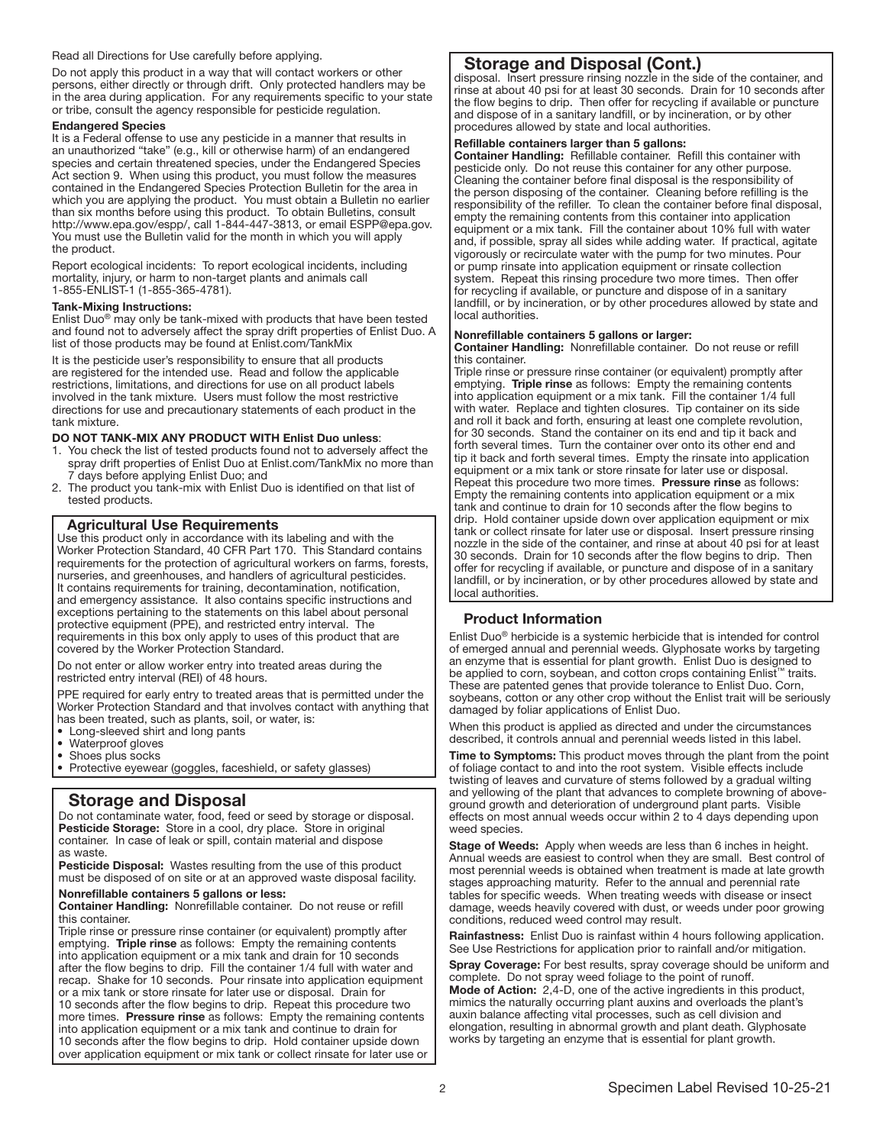#### Read all Directions for Use carefully before applying.

Do not apply this product in a way that will contact workers or other persons, either directly or through drift. Only protected handlers may be in the area during application. For any requirements specific to your state or tribe, consult the agency responsible for pesticide regulation.

#### Endangered Species

It is a Federal offense to use any pesticide in a manner that results in an unauthorized "take" (e.g., kill or otherwise harm) of an endangered species and certain threatened species, under the Endangered Species Act section 9. When using this product, you must follow the measures contained in the Endangered Species Protection Bulletin for the area in which you are applying the product. You must obtain a Bulletin no earlier than six months before using this product. To obtain Bulletins, consult http://www.epa.gov/espp/, call 1-844-447-3813, or email ESPP@epa.gov. You must use the Bulletin valid for the month in which you will apply the product.

Report ecological incidents: To report ecological incidents, including mortality, injury, or harm to non-target plants and animals call 1-855-ENLIST-1 (1-855-365-4781).

#### Tank-Mixing Instructions:

Enlist Duo® may only be tank-mixed with products that have been tested and found not to adversely affect the spray drift properties of Enlist Duo. A list of those products may be found at Enlist.com/TankMix

It is the pesticide user's responsibility to ensure that all products are registered for the intended use. Read and follow the applicable restrictions, limitations, and directions for use on all product labels involved in the tank mixture. Users must follow the most restrictive directions for use and precautionary statements of each product in the tank mixture.

#### DO NOT TANK-MIX ANY PRODUCT WITH Enlist Duo unless:

- 1. You check the list of tested products found not to adversely affect the spray drift properties of Enlist Duo at Enlist.com/TankMix no more than 7 days before applying Enlist Duo; and
- 2. The product you tank-mix with Enlist Duo is identified on that list of tested products.

#### Agricultural Use Requirements

Use this product only in accordance with its labeling and with the Worker Protection Standard, 40 CFR Part 170. This Standard contains requirements for the protection of agricultural workers on farms, forests, nurseries, and greenhouses, and handlers of agricultural pesticides. It contains requirements for training, decontamination, notification, and emergency assistance. It also contains specific instructions and exceptions pertaining to the statements on this label about personal protective equipment (PPE), and restricted entry interval. The requirements in this box only apply to uses of this product that are covered by the Worker Protection Standard.

Do not enter or allow worker entry into treated areas during the restricted entry interval (REI) of 48 hours.

PPE required for early entry to treated areas that is permitted under the Worker Protection Standard and that involves contact with anything that has been treated, such as plants, soil, or water, is:

- Long-sleeved shirt and long pants
- Waterproof gloves
- Shoes plus socks
- Protective eyewear (goggles, faceshield, or safety glasses)

## Storage and Disposal

Do not contaminate water, food, feed or seed by storage or disposal. Pesticide Storage: Store in a cool, dry place. Store in original container. In case of leak or spill, contain material and dispose as waste.

Pesticide Disposal: Wastes resulting from the use of this product must be disposed of on site or at an approved waste disposal facility.

### Nonrefillable containers 5 gallons or less:

Container Handling: Nonrefillable container. Do not reuse or refill this container.

Triple rinse or pressure rinse container (or equivalent) promptly after emptying. Triple rinse as follows: Empty the remaining contents into application equipment or a mix tank and drain for 10 seconds after the flow begins to drip. Fill the container 1/4 full with water and recap. Shake for 10 seconds. Pour rinsate into application equipment or a mix tank or store rinsate for later use or disposal. Drain for 10 seconds after the flow begins to drip. Repeat this procedure two more times. Pressure rinse as follows: Empty the remaining contents into application equipment or a mix tank and continue to drain for 10 seconds after the flow begins to drip. Hold container upside down over application equipment or mix tank or collect rinsate for later use or

## Storage and Disposal (Cont.)

disposal. Insert pressure rinsing nozzle in the side of the container, and rinse at about 40 psi for at least 30 seconds. Drain for 10 seconds after the flow begins to drip. Then offer for recycling if available or puncture and dispose of in a sanitary landfill, or by incineration, or by other procedures allowed by state and local authorities.

#### Refillable containers larger than 5 gallons:

Container Handling: Refillable container. Refill this container with pesticide only. Do not reuse this container for any other purpose. Cleaning the container before final disposal is the responsibility of the person disposing of the container. Cleaning before refilling is the responsibility of the refiller. To clean the container before final disposal, empty the remaining contents from this container into application equipment or a mix tank. Fill the container about 10% full with water and, if possible, spray all sides while adding water. If practical, agitate vigorously or recirculate water with the pump for two minutes. Pour or pump rinsate into application equipment or rinsate collection system. Repeat this rinsing procedure two more times. Then offer for recycling if available, or puncture and dispose of in a sanitary landfill, or by incineration, or by other procedures allowed by state and local authorities.

#### Nonrefillable containers 5 gallons or larger:

Container Handling: Nonrefillable container. Do not reuse or refill this container.

Triple rinse or pressure rinse container (or equivalent) promptly after emptying. Triple rinse as follows: Empty the remaining contents into application equipment or a mix tank. Fill the container 1/4 full with water. Replace and tighten closures. Tip container on its side and roll it back and forth, ensuring at least one complete revolution, for 30 seconds. Stand the container on its end and tip it back and forth several times. Turn the container over onto its other end and tip it back and forth several times. Empty the rinsate into application equipment or a mix tank or store rinsate for later use or disposal. Repeat this procedure two more times. Pressure rinse as follows: Empty the remaining contents into application equipment or a mix tank and continue to drain for 10 seconds after the flow begins to drip. Hold container upside down over application equipment or mix tank or collect rinsate for later use or disposal. Insert pressure rinsing nozzle in the side of the container, and rinse at about 40 psi for at least 30 seconds. Drain for 10 seconds after the flow begins to drip. Then offer for recycling if available, or puncture and dispose of in a sanitary landfill, or by incineration, or by other procedures allowed by state and local authorities.

## Product Information

Enlist Duo® herbicide is a systemic herbicide that is intended for control of emerged annual and perennial weeds. Glyphosate works by targeting an enzyme that is essential for plant growth. Enlist Duo is designed to be applied to corn, soybean, and cotton crops containing Enlist™ traits. These are patented genes that provide tolerance to Enlist Duo. Corn, soybeans, cotton or any other crop without the Enlist trait will be seriously damaged by foliar applications of Enlist Duo.

When this product is applied as directed and under the circumstances described, it controls annual and perennial weeds listed in this label.

Time to Symptoms: This product moves through the plant from the point of foliage contact to and into the root system. Visible effects include twisting of leaves and curvature of stems followed by a gradual wilting and yellowing of the plant that advances to complete browning of aboveground growth and deterioration of underground plant parts. Visible effects on most annual weeds occur within 2 to 4 days depending upon weed species.

Stage of Weeds: Apply when weeds are less than 6 inches in height. Annual weeds are easiest to control when they are small. Best control of most perennial weeds is obtained when treatment is made at late growth stages approaching maturity. Refer to the annual and perennial rate tables for specific weeds. When treating weeds with disease or insect damage, weeds heavily covered with dust, or weeds under poor growing conditions, reduced weed control may result.

Rainfastness: Enlist Duo is rainfast within 4 hours following application. See Use Restrictions for application prior to rainfall and/or mitigation.

Spray Coverage: For best results, spray coverage should be uniform and complete. Do not spray weed foliage to the point of runoff. Mode of Action: 2,4-D, one of the active ingredients in this product, mimics the naturally occurring plant auxins and overloads the plant's auxin balance affecting vital processes, such as cell division and elongation, resulting in abnormal growth and plant death. Glyphosate works by targeting an enzyme that is essential for plant growth.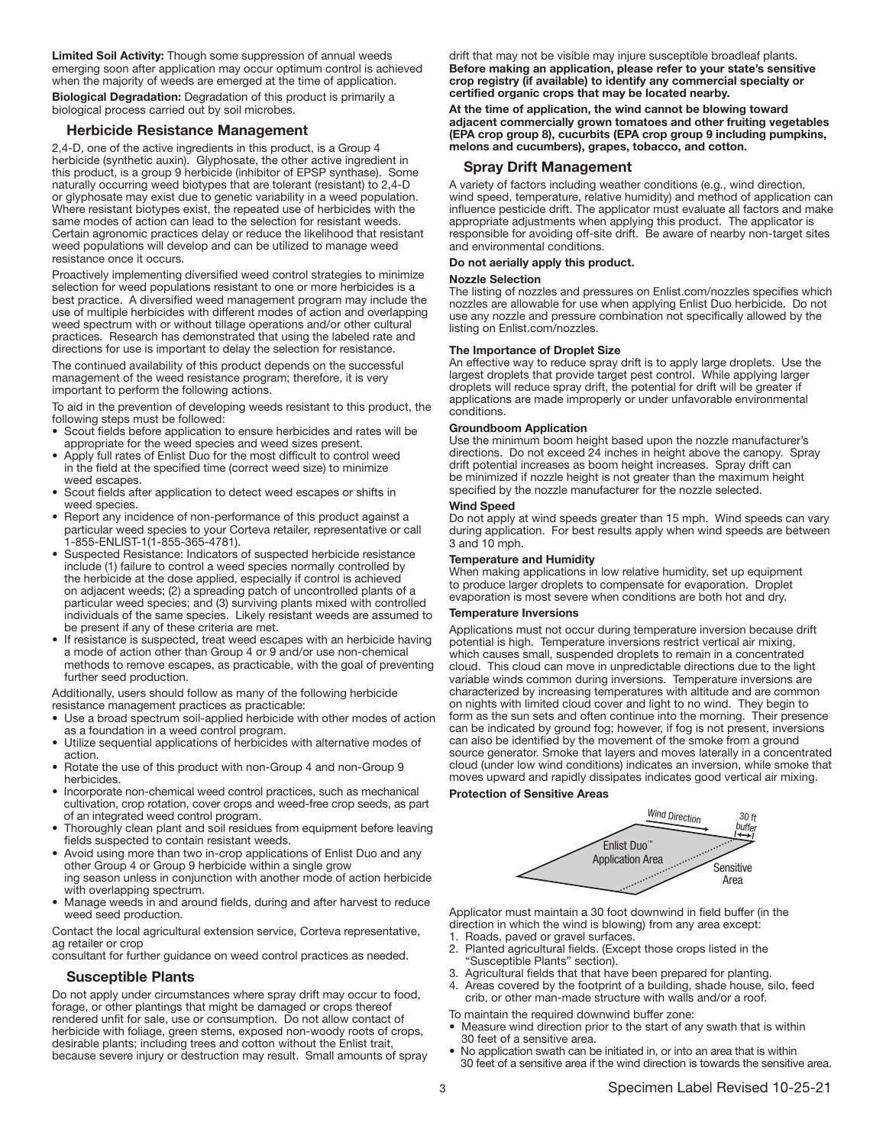Limited Soil Activity: Though some suppression of annual weeds emerging soon after application may occur optimum control is achieved when the majority of weeds are emerged at the time of application.

Biological Degradation: Degradation of this product is primarily a biological process carried out by soil microbes.

#### Herbicide Resistance Management

2,4-D, one of the active ingredients in this product, is a Group 4 herbicide (synthetic auxin). Glyphosate, the other active ingredient in this product, is a group 9 herbicide (inhibitor of EPSP synthase). Some naturally occurring weed biotypes that are tolerant (resistant) to 2,4-D or glyphosate may exist due to genetic variability in a weed population. Where resistant biotypes exist, the repeated use of herbicides with the same modes of action can lead to the selection for resistant weeds. Certain agronomic practices delay or reduce the likelihood that resistant weed populations will develop and can be utilized to manage weed resistance once it occurs.

Proactively implementing diversified weed control strategies to minimize selection for weed populations resistant to one or more herbicides is a best practice. A diversified weed management program may include the use of multiple herbicides with different modes of action and overlapping weed spectrum with or without tillage operations and/or other cultural practices. Research has demonstrated that using the labeled rate and directions for use is important to delay the selection for resistance.

The continued availability of this product depends on the successful management of the weed resistance program; therefore, it is very important to perform the following actions.

To aid in the prevention of developing weeds resistant to this product, the following steps must be followed:

- Scout fields before application to ensure herbicides and rates will be appropriate for the weed species and weed sizes present.
- Apply full rates of Enlist Duo for the most difficult to control weed in the field at the specified time (correct weed size) to minimize weed escapes.
- Scout fields after application to detect weed escapes or shifts in weed species.
- Report any incidence of non-performance of this product against a particular weed species to your Corteva retailer, representative or call 1-855-ENLIST-1(1-855-365-4781).
- Suspected Resistance: Indicators of suspected herbicide resistance include (1) failure to control a weed species normally controlled by the herbicide at the dose applied, especially if control is achieved on adjacent weeds; (2) a spreading patch of uncontrolled plants of a particular weed species; and (3) surviving plants mixed with controlled individuals of the same species. Likely resistant weeds are assumed to be present if any of these criteria are met.
- If resistance is suspected, treat weed escapes with an herbicide having a mode of action other than Group 4 or 9 and/or use non-chemical methods to remove escapes, as practicable, with the goal of preventing further seed production.

Additionally, users should follow as many of the following herbicide resistance management practices as practicable:

- Use a broad spectrum soil-applied herbicide with other modes of action as a foundation in a weed control program.
- Utilize sequential applications of herbicides with alternative modes of action.
- Rotate the use of this product with non-Group 4 and non-Group 9 herbicides.
- Incorporate non-chemical weed control practices, such as mechanical cultivation, crop rotation, cover crops and weed-free crop seeds, as part of an integrated weed control program.
- Thoroughly clean plant and soil residues from equipment before leaving fields suspected to contain resistant weeds.
- Avoid using more than two in-crop applications of Enlist Duo and any other Group 4 or Group 9 herbicide within a single grow ing season unless in conjunction with another mode of action herbicide
- with overlapping spectrum. • Manage weeds in and around fields, during and after harvest to reduce weed seed production.

Contact the local agricultural extension service, Corteva representative, ag retailer or crop

consultant for further guidance on weed control practices as needed.

#### Susceptible Plants

Do not apply under circumstances where spray drift may occur to food, forage, or other plantings that might be damaged or crops thereof rendered unfit for sale, use or consumption. Do not allow contact of herbicide with foliage, green stems, exposed non-woody roots of crops, desirable plants; including trees and cotton without the Enlist trait, because severe injury or destruction may result. Small amounts of spray drift that may not be visible may injure susceptible broadleaf plants. Before making an application, please refer to your state's sensitive crop registry (if available) to identify any commercial specialty or certified organic crops that may be located nearby.

At the time of application, the wind cannot be blowing toward adjacent commercially grown tomatoes and other fruiting vegetables (EPA crop group 8), cucurbits (EPA crop group 9 including pumpkins, melons and cucumbers), grapes, tobacco, and cotton.

#### Spray Drift Management

A variety of factors including weather conditions (e.g., wind direction, wind speed, temperature, relative humidity) and method of application can influence pesticide drift. The applicator must evaluate all factors and make appropriate adjustments when applying this product. The applicator is responsible for avoiding off-site drift. Be aware of nearby non-target sites and environmental conditions.

## Do not aerially apply this product.

#### Nozzle Selection

The listing of nozzles and pressures on Enlist.com/nozzles specifies which nozzles are allowable for use when applying Enlist Duo herbicide. Do not use any nozzle and pressure combination not specifically allowed by the listing on Enlist.com/nozzles.

#### The Importance of Droplet Size

An effective way to reduce spray drift is to apply large droplets. Use the largest droplets that provide target pest control. While applying larger droplets will reduce spray drift, the potential for drift will be greater if applications are made improperly or under unfavorable environmental conditions.

#### Groundboom Application

Use the minimum boom height based upon the nozzle manufacturer's directions. Do not exceed 24 inches in height above the canopy. Spray drift potential increases as boom height increases. Spray drift can be minimized if nozzle height is not greater than the maximum height specified by the nozzle manufacturer for the nozzle selected.

#### Wind Speed

Do not apply at wind speeds greater than 15 mph. Wind speeds can vary during application. For best results apply when wind speeds are between 3 and 10 mph.

#### Temperature and Humidity

When making applications in low relative humidity, set up equipment to produce larger droplets to compensate for evaporation. Droplet evaporation is most severe when conditions are both hot and dry.

#### Temperature Inversions

Applications must not occur during temperature inversion because drift potential is high. Temperature inversions restrict vertical air mixing, which causes small, suspended droplets to remain in a concentrated cloud. This cloud can move in unpredictable directions due to the light variable winds common during inversions. Temperature inversions are characterized by increasing temperatures with altitude and are common on nights with limited cloud cover and light to no wind. They begin to form as the sun sets and often continue into the morning. Their presence can be indicated by ground fog; however, if fog is not present, inversions can also be identified by the movement of the smoke from a ground source generator. Smoke that layers and moves laterally in a concentrated cloud (under low wind conditions) indicates an inversion, while smoke that moves upward and rapidly dissipates indicates good vertical air mixing.

#### Protection of Sensitive Areas



Applicator must maintain a 30 foot downwind in field buffer (in the direction in which the wind is blowing) from any area except:

- 1. Roads, paved or gravel surfaces.
- 2. Planted agricultural fields. (Except those crops listed in the "Susceptible Plants" section).
- 3. Agricultural fields that that have been prepared for planting.
- Areas covered by the footprint of a building, shade house, silo, feed crib, or other man-made structure with walls and/or a roof.

To maintain the required downwind buffer zone:

- Measure wind direction prior to the start of any swath that is within 30 feet of a sensitive area.
- No application swath can be initiated in, or into an area that is within 30 feet of a sensitive area if the wind direction is towards the sensitive area.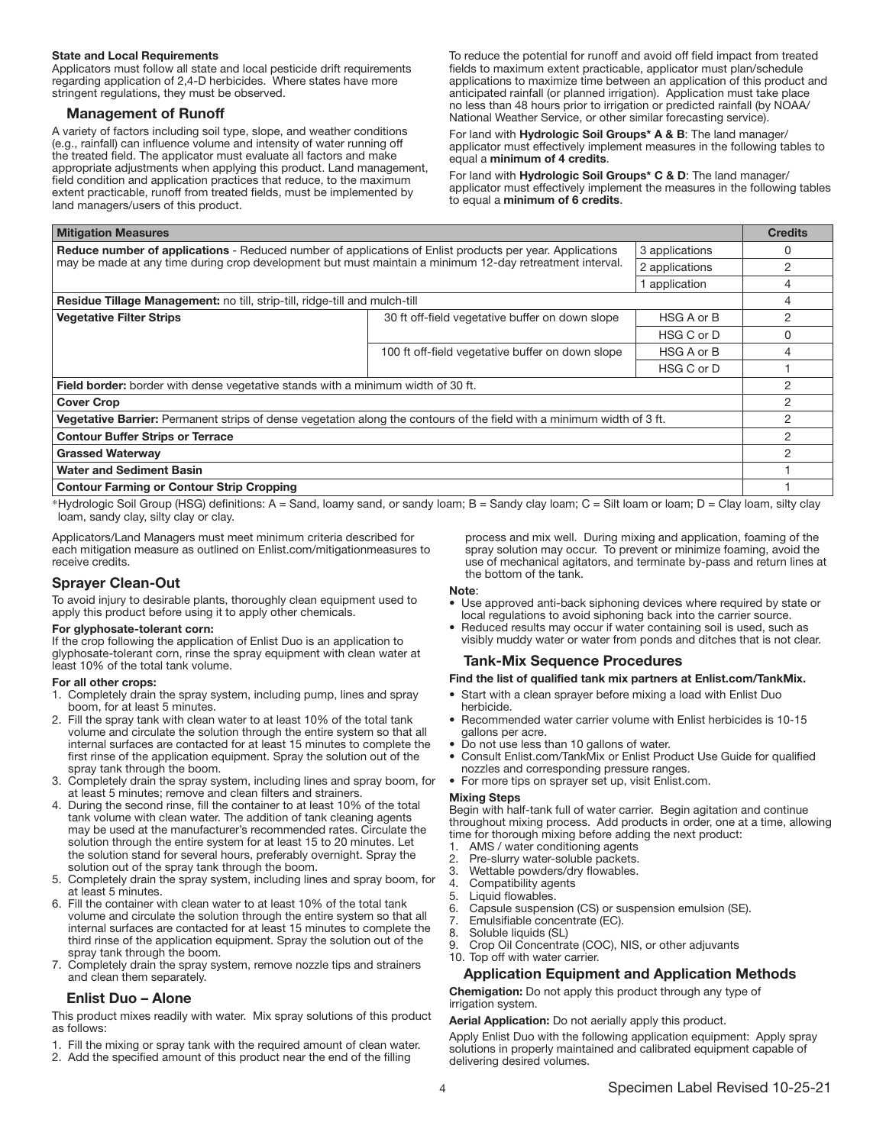#### State and Local Requirements

Applicators must follow all state and local pesticide drift requirements regarding application of 2,4-D herbicides. Where states have more stringent regulations, they must be observed.

#### Management of Runoff

A variety of factors including soil type, slope, and weather conditions (e.g., rainfall) can influence volume and intensity of water running off the treated field. The applicator must evaluate all factors and make appropriate adjustments when applying this product. Land management, field condition and application practices that reduce, to the maximum extent practicable, runoff from treated fields, must be implemented by extern practicable, ranof from a cated fields, must be implemented by to equal a **minimum of 6 credits**.<br>land managers/users of this product.

To reduce the potential for runoff and avoid off field impact from treated fields to maximum extent practicable, applicator must plan/schedule applications to maximize time between an application of this product and anticipated rainfall (or planned irrigation). Application must take place no less than 48 hours prior to irrigation or predicted rainfall (by NOAA/ National Weather Service, or other similar forecasting service).

For land with Hydrologic Soil Groups\* A & B: The land manager/ applicator must effectively implement measures in the following tables to equal a minimum of 4 credits.

For land with Hydrologic Soil Groups\* C & D: The land manager/ applicator must effectively implement the measures in the following tables

| <b>Mitigation Measures</b>                                                                                                                                                                                                  |                                                  | <b>Credits</b> |              |
|-----------------------------------------------------------------------------------------------------------------------------------------------------------------------------------------------------------------------------|--------------------------------------------------|----------------|--------------|
| <b>Reduce number of applications</b> - Reduced number of applications of Enlist products per year. Applications<br>may be made at any time during crop development but must maintain a minimum 12-day retreatment interval. |                                                  | 3 applications | 0            |
|                                                                                                                                                                                                                             |                                                  | 2 applications | 2            |
|                                                                                                                                                                                                                             |                                                  | application    | 4            |
| <b>Residue Tillage Management:</b> no till, strip-till, ridge-till and mulch-till                                                                                                                                           |                                                  |                | 4            |
| <b>Vegetative Filter Strips</b>                                                                                                                                                                                             | 30 ft off-field vegetative buffer on down slope  | HSG A or B     | 2            |
|                                                                                                                                                                                                                             |                                                  | HSG C or D     | <sup>0</sup> |
|                                                                                                                                                                                                                             | 100 ft off-field vegetative buffer on down slope | HSG A or B     | 4            |
|                                                                                                                                                                                                                             |                                                  | HSG C or D     |              |
| <b>Field border:</b> border with dense vegetative stands with a minimum width of 30 ft.                                                                                                                                     |                                                  |                | 2            |
| <b>Cover Crop</b>                                                                                                                                                                                                           |                                                  |                | 2            |
| Vegetative Barrier: Permanent strips of dense vegetation along the contours of the field with a minimum width of 3 ft.                                                                                                      |                                                  | 2              |              |
| <b>Contour Buffer Strips or Terrace</b>                                                                                                                                                                                     |                                                  | 2              |              |
| <b>Grassed Waterway</b>                                                                                                                                                                                                     |                                                  | 2              |              |
| <b>Water and Sediment Basin</b>                                                                                                                                                                                             |                                                  |                |              |
| <b>Contour Farming or Contour Strip Cropping</b>                                                                                                                                                                            |                                                  |                |              |

\*Hydrologic Soil Group (HSG) definitions: A = Sand, loamy sand, or sandy loam; B = Sandy clay loam; C = Silt loam or loam; D = Clay loam, silty clay loam, sandy clay, silty clay or clay.

Applicators/Land Managers must meet minimum criteria described for each mitigation measure as outlined on Enlist.com/mitigationmeasures to receive credits.

## Sprayer Clean-Out

To avoid injury to desirable plants, thoroughly clean equipment used to apply this product before using it to apply other chemicals.

#### For glyphosate-tolerant corn:

If the crop following the application of Enlist Duo is an application to glyphosate-tolerant corn, rinse the spray equipment with clean water at least 10% of the total tank volume.

#### For all other crops:

- 1. Completely drain the spray system, including pump, lines and spray boom, for at least 5 minutes.
- 2. Fill the spray tank with clean water to at least 10% of the total tank volume and circulate the solution through the entire system so that all internal surfaces are contacted for at least 15 minutes to complete the first rinse of the application equipment. Spray the solution out of the spray tank through the boom.
- 3. Completely drain the spray system, including lines and spray boom, for at least 5 minutes; remove and clean filters and strainers.
- 4. During the second rinse, fill the container to at least 10% of the total tank volume with clean water. The addition of tank cleaning agents may be used at the manufacturer's recommended rates. Circulate the solution through the entire system for at least 15 to 20 minutes. Let the solution stand for several hours, preferably overnight. Spray the solution out of the spray tank through the boom.
- 5. Completely drain the spray system, including lines and spray boom, for at least 5 minutes.
- 6. Fill the container with clean water to at least 10% of the total tank volume and circulate the solution through the entire system so that all internal surfaces are contacted for at least 15 minutes to complete the third rinse of the application equipment. Spray the solution out of the spray tank through the boom.
- 7. Completely drain the spray system, remove nozzle tips and strainers and clean them separately.

#### Enlist Duo – Alone

This product mixes readily with water. Mix spray solutions of this product as follows:

- 1. Fill the mixing or spray tank with the required amount of clean water.
- 2. Add the specified amount of this product near the end of the filling

#### Note:

the bottom of the tank.

Use approved anti-back siphoning devices where required by state or local regulations to avoid siphoning back into the carrier source.

process and mix well. During mixing and application, foaming of the spray solution may occur. To prevent or minimize foaming, avoid the use of mechanical agitators, and terminate by-pass and return lines at

• Reduced results may occur if water containing soil is used, such as visibly muddy water or water from ponds and ditches that is not clear.

#### Tank-Mix Sequence Procedures

## Find the list of qualified tank mix partners at Enlist.com/TankMix.

- Start with a clean sprayer before mixing a load with Enlist Duo herbicide.
- Recommended water carrier volume with Enlist herbicides is 10-15 gallons per acre.
- Do not use less than 10 gallons of water.
- Consult Enlist.com/TankMix or Enlist Product Use Guide for qualified nozzles and corresponding pressure ranges.
- For more tips on sprayer set up, visit Enlist.com.

#### Mixing Steps

Begin with half-tank full of water carrier. Begin agitation and continue throughout mixing process. Add products in order, one at a time, allowing time for thorough mixing before adding the next product:

- 1. AMS / water conditioning agents
- 2. Pre-slurry water-soluble packets.<br>3. Wettable powders/dry flowables
- Wettable powders/dry flowables.
- 4. Compatibility agents
- 5. Liquid flowables.
- 6. Capsule suspension (CS) or suspension emulsion (SE).
- 7. Emulsifiable concentrate (EC).
- 8. Soluble liquids (SL)
- 9. Crop Oil Concentrate (COC), NIS, or other adjuvants
- 10. Top off with water carrier.

#### Application Equipment and Application Methods

Chemigation: Do not apply this product through any type of irrigation system.

#### Aerial Application: Do not aerially apply this product.

Apply Enlist Duo with the following application equipment: Apply spray solutions in properly maintained and calibrated equipment capable of delivering desired volumes.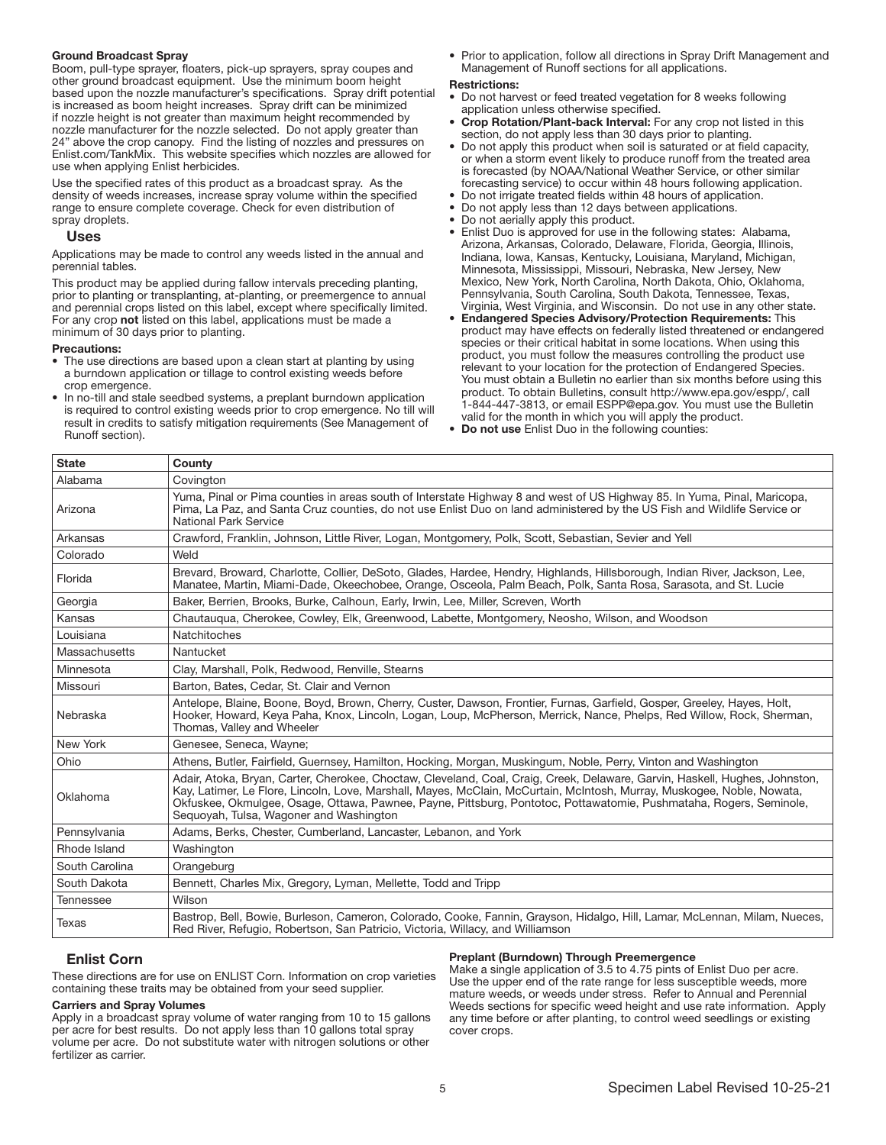### Ground Broadcast Spray

Boom, pull-type sprayer, floaters, pick-up sprayers, spray coupes and other ground broadcast equipment. Use the minimum boom height based upon the nozzle manufacturer's specifications. Spray drift potential is increased as boom height increases. Spray drift can be minimized if nozzle height is not greater than maximum height recommended by nozzle manufacturer for the nozzle selected. Do not apply greater than 24" above the crop canopy. Find the listing of nozzles and pressures on Enlist.com/TankMix. This website specifies which nozzles are allowed for use when applying Enlist herbicides.

Use the specified rates of this product as a broadcast spray. As the density of weeds increases, increase spray volume within the specified range to ensure complete coverage. Check for even distribution of spray droplets.

#### Uses

Applications may be made to control any weeds listed in the annual and perennial tables.

This product may be applied during fallow intervals preceding planting, prior to planting or transplanting, at-planting, or preemergence to annual and perennial crops listed on this label, except where specifically limited. For any crop not listed on this label, applications must be made a minimum of 30 days prior to planting.

#### Precautions:

- The use directions are based upon a clean start at planting by using a burndown application or tillage to control existing weeds before crop emergence.
- In no-till and stale seedbed systems, a preplant burndown application is required to control existing weeds prior to crop emergence. No till will result in credits to satisfy mitigation requirements (See Management of Runoff section).

• Prior to application, follow all directions in Spray Drift Management and Management of Runoff sections for all applications.

#### Restrictions:

- Do not harvest or feed treated vegetation for 8 weeks following application unless otherwise specified.
- Crop Rotation/Plant-back Interval: For any crop not listed in this section, do not apply less than 30 days prior to planting.
- Do not apply this product when soil is saturated or at field capacity, or when a storm event likely to produce runoff from the treated area is forecasted (by NOAA/National Weather Service, or other similar forecasting service) to occur within 48 hours following application.
- Do not irrigate treated fields within 48 hours of application.
- Do not apply less than 12 days between applications.
- Do not aerially apply this product.
- Enlist Duo is approved for use in the following states: Alabama, Arizona, Arkansas, Colorado, Delaware, Florida, Georgia, Illinois, Indiana, Iowa, Kansas, Kentucky, Louisiana, Maryland, Michigan, Minnesota, Mississippi, Missouri, Nebraska, New Jersey, New Mexico, New York, North Carolina, North Dakota, Ohio, Oklahoma, Pennsylvania, South Carolina, South Dakota, Tennessee, Texas, Virginia, West Virginia, and Wisconsin. Do not use in any other state.
- Endangered Species Advisory/Protection Requirements: This product may have effects on federally listed threatened or endangered species or their critical habitat in some locations. When using this product, you must follow the measures controlling the product use relevant to your location for the protection of Endangered Species. You must obtain a Bulletin no earlier than six months before using this product. To obtain Bulletins, consult http://www.epa.gov/espp/, call 1-844-447-3813, or email ESPP@epa.gov. You must use the Bulletin valid for the month in which you will apply the product.
- Do not use Enlist Duo in the following counties:

| <b>State</b>   | County                                                                                                                                                                                                                                                                                                                                                                                                                 |
|----------------|------------------------------------------------------------------------------------------------------------------------------------------------------------------------------------------------------------------------------------------------------------------------------------------------------------------------------------------------------------------------------------------------------------------------|
| Alabama        | Covington                                                                                                                                                                                                                                                                                                                                                                                                              |
| Arizona        | Yuma, Pinal or Pima counties in areas south of Interstate Highway 8 and west of US Highway 85. In Yuma, Pinal, Maricopa,<br>Pima, La Paz, and Santa Cruz counties, do not use Enlist Duo on land administered by the US Fish and Wildlife Service or<br>National Park Service                                                                                                                                          |
| Arkansas       | Crawford, Franklin, Johnson, Little River, Logan, Montgomery, Polk, Scott, Sebastian, Sevier and Yell                                                                                                                                                                                                                                                                                                                  |
| Colorado       | Weld                                                                                                                                                                                                                                                                                                                                                                                                                   |
| Florida        | Brevard, Broward, Charlotte, Collier, DeSoto, Glades, Hardee, Hendry, Highlands, Hillsborough, Indian River, Jackson, Lee,<br>Manatee, Martin, Miami-Dade, Okeechobee, Orange, Osceola, Palm Beach, Polk, Santa Rosa, Sarasota, and St. Lucie                                                                                                                                                                          |
| Georgia        | Baker, Berrien, Brooks, Burke, Calhoun, Early, Irwin, Lee, Miller, Screven, Worth                                                                                                                                                                                                                                                                                                                                      |
| Kansas         | Chautauqua, Cherokee, Cowley, Elk, Greenwood, Labette, Montgomery, Neosho, Wilson, and Woodson                                                                                                                                                                                                                                                                                                                         |
| Louisiana      | Natchitoches                                                                                                                                                                                                                                                                                                                                                                                                           |
| Massachusetts  | Nantucket                                                                                                                                                                                                                                                                                                                                                                                                              |
| Minnesota      | Clay, Marshall, Polk, Redwood, Renville, Stearns                                                                                                                                                                                                                                                                                                                                                                       |
| Missouri       | Barton, Bates, Cedar, St. Clair and Vernon                                                                                                                                                                                                                                                                                                                                                                             |
| Nebraska       | Antelope, Blaine, Boone, Boyd, Brown, Cherry, Custer, Dawson, Frontier, Furnas, Garfield, Gosper, Greeley, Hayes, Holt,<br>Hooker, Howard, Keya Paha, Knox, Lincoln, Logan, Loup, McPherson, Merrick, Nance, Phelps, Red Willow, Rock, Sherman,<br>Thomas, Valley and Wheeler                                                                                                                                          |
| New York       | Genesee, Seneca, Wayne;                                                                                                                                                                                                                                                                                                                                                                                                |
| Ohio           | Athens, Butler, Fairfield, Guernsey, Hamilton, Hocking, Morgan, Muskingum, Noble, Perry, Vinton and Washington                                                                                                                                                                                                                                                                                                         |
| Oklahoma       | Adair, Atoka, Bryan, Carter, Cherokee, Choctaw, Cleveland, Coal, Craig, Creek, Delaware, Garvin, Haskell, Hughes, Johnston,<br>Kay, Latimer, Le Flore, Lincoln, Love, Marshall, Mayes, McClain, McCurtain, McIntosh, Murray, Muskogee, Noble, Nowata,<br>Okfuskee, Okmulgee, Osage, Ottawa, Pawnee, Payne, Pittsburg, Pontotoc, Pottawatomie, Pushmataha, Rogers, Seminole,<br>Seguoyah, Tulsa, Wagoner and Washington |
| Pennsylvania   | Adams, Berks, Chester, Cumberland, Lancaster, Lebanon, and York                                                                                                                                                                                                                                                                                                                                                        |
| Rhode Island   | Washington                                                                                                                                                                                                                                                                                                                                                                                                             |
| South Carolina | Orangeburg                                                                                                                                                                                                                                                                                                                                                                                                             |
| South Dakota   | Bennett, Charles Mix, Gregory, Lyman, Mellette, Todd and Tripp                                                                                                                                                                                                                                                                                                                                                         |
| Tennessee      | Wilson                                                                                                                                                                                                                                                                                                                                                                                                                 |
| Texas          | Bastrop, Bell, Bowie, Burleson, Cameron, Colorado, Cooke, Fannin, Grayson, Hidalgo, Hill, Lamar, McLennan, Milam, Nueces,<br>Red River, Refugio, Robertson, San Patricio, Victoria, Willacy, and Williamson                                                                                                                                                                                                            |

#### Enlist Corn

These directions are for use on ENLIST Corn. Information on crop varieties containing these traits may be obtained from your seed supplier.

#### Carriers and Spray Volumes

Apply in a broadcast spray volume of water ranging from 10 to 15 gallons per acre for best results. Do not apply less than 10 gallons total spray volume per acre. Do not substitute water with nitrogen solutions or other fertilizer as carrier.

#### Preplant (Burndown) Through Preemergence

Make a single application of 3.5 to 4.75 pints of Enlist Duo per acre. Use the upper end of the rate range for less susceptible weeds, more mature weeds, or weeds under stress. Refer to Annual and Perennial Weeds sections for specific weed height and use rate information. Apply any time before or after planting, to control weed seedlings or existing cover crops.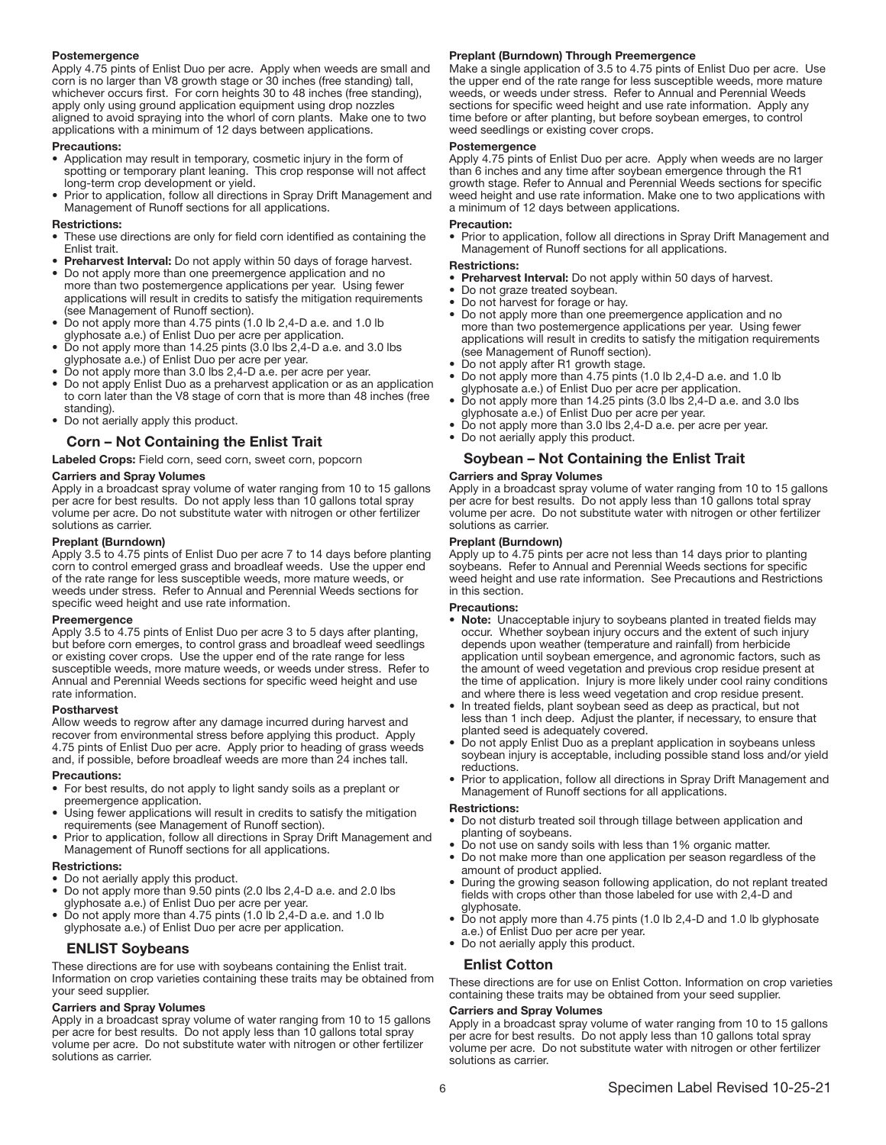#### Postemergence

Apply 4.75 pints of Enlist Duo per acre. Apply when weeds are small and corn is no larger than V8 growth stage or 30 inches (free standing) tall, whichever occurs first. For corn heights 30 to 48 inches (free standing), apply only using ground application equipment using drop nozzles aligned to avoid spraying into the whorl of corn plants. Make one to two applications with a minimum of 12 days between applications.

#### Precautions:

- Application may result in temporary, cosmetic injury in the form of spotting or temporary plant leaning. This crop response will not affect long-term crop development or yield.
- Prior to application, follow all directions in Spray Drift Management and Management of Runoff sections for all applications.

#### Restrictions:

- These use directions are only for field corn identified as containing the Enlist trait.
- Preharvest Interval: Do not apply within 50 days of forage harvest.
- Do not apply more than one preemergence application and no more than two postemergence applications per year. Using fewer applications will result in credits to satisfy the mitigation requirements (see Management of Runoff section).
- Do not apply more than 4.75 pints (1.0 lb 2,4-D a.e. and 1.0 lb glyphosate a.e.) of Enlist Duo per acre per application.
- Do not apply more than 14.25 pints (3.0 lbs 2,4-D a.e. and 3.0 lbs glyphosate a.e.) of Enlist Duo per acre per year.
- Do not apply more than 3.0 lbs 2,4-D a.e. per acre per year.
- Do not apply Enlist Duo as a preharvest application or as an application to corn later than the V8 stage of corn that is more than 48 inches (free standing).
- Do not aerially apply this product.

## Corn – Not Containing the Enlist Trait

Labeled Crops: Field corn, seed corn, sweet corn, popcorn

#### Carriers and Spray Volumes

Apply in a broadcast spray volume of water ranging from 10 to 15 gallons per acre for best results. Do not apply less than 10 gallons total spray volume per acre. Do not substitute water with nitrogen or other fertilizer solutions as carrier.

#### Preplant (Burndown)

Apply 3.5 to 4.75 pints of Enlist Duo per acre 7 to 14 days before planting corn to control emerged grass and broadleaf weeds. Use the upper end of the rate range for less susceptible weeds, more mature weeds, or weeds under stress. Refer to Annual and Perennial Weeds sections for specific weed height and use rate information.

#### Preemergence

Apply 3.5 to 4.75 pints of Enlist Duo per acre 3 to 5 days after planting, but before corn emerges, to control grass and broadleaf weed seedlings or existing cover crops. Use the upper end of the rate range for less susceptible weeds, more mature weeds, or weeds under stress. Refer to Annual and Perennial Weeds sections for specific weed height and use rate information.

#### Postharvest

Allow weeds to regrow after any damage incurred during harvest and recover from environmental stress before applying this product. Apply 4.75 pints of Enlist Duo per acre. Apply prior to heading of grass weeds and, if possible, before broadleaf weeds are more than 24 inches tall.

#### Precautions:

- For best results, do not apply to light sandy soils as a preplant or preemergence application.
- Using fewer applications will result in credits to satisfy the mitigation requirements (see Management of Runoff section).
- Prior to application, follow all directions in Spray Drift Management and Management of Runoff sections for all applications.

#### Restrictions:

- Do not aerially apply this product.
- Do not apply more than 9.50 pints (2.0 lbs 2,4-D a.e. and 2.0 lbs glyphosate a.e.) of Enlist Duo per acre per year.
- Do not apply more than 4.75 pints (1.0 lb 2,4-D a.e. and 1.0 lb glyphosate a.e.) of Enlist Duo per acre per application.

## ENLIST Soybeans

These directions are for use with soybeans containing the Enlist trait. Information on crop varieties containing these traits may be obtained from your seed supplier.

#### Carriers and Spray Volumes

Apply in a broadcast spray volume of water ranging from 10 to 15 gallons per acre for best results. Do not apply less than 10 gallons total spray volume per acre. Do not substitute water with nitrogen or other fertilizer solutions as carrier.

#### Preplant (Burndown) Through Preemergence

Make a single application of 3.5 to 4.75 pints of Enlist Duo per acre. Use the upper end of the rate range for less susceptible weeds, more mature weeds, or weeds under stress. Refer to Annual and Perennial Weeds sections for specific weed height and use rate information. Apply any time before or after planting, but before soybean emerges, to control weed seedlings or existing cover crops.

#### Postemergence

Apply 4.75 pints of Enlist Duo per acre. Apply when weeds are no larger than 6 inches and any time after soybean emergence through the R1 growth stage. Refer to Annual and Perennial Weeds sections for specific weed height and use rate information. Make one to two applications with a minimum of 12 days between applications.

#### Precaution:

• Prior to application, follow all directions in Spray Drift Management and Management of Runoff sections for all applications.

#### Restrictions:

- Preharvest Interval: Do not apply within 50 days of harvest.<br>• Do not graze treated soybean
- Do not graze treated soybean.
- Do not harvest for forage or hay.
- Do not apply more than one preemergence application and no more than two postemergence applications per year. Using fewer applications will result in credits to satisfy the mitigation requirements (see Management of Runoff section).
- Do not apply after R1 growth stage.
- Do not apply more than 4.75 pints (1.0 lb 2,4-D a.e. and 1.0 lb glyphosate a.e.) of Enlist Duo per acre per application.
- Do not apply more than 14.25 pints (3.0 lbs 2,4-D a.e. and 3.0 lbs glyphosate a.e.) of Enlist Duo per acre per year.
- Do not apply more than 3.0 lbs 2,4-D a.e. per acre per year.
- Do not aerially apply this product.

#### Soybean – Not Containing the Enlist Trait

#### Carriers and Spray Volumes

Apply in a broadcast spray volume of water ranging from 10 to 15 gallons per acre for best results. Do not apply less than 10 gallons total spray volume per acre. Do not substitute water with nitrogen or other fertilizer solutions as carrier.

#### Preplant (Burndown)

Apply up to 4.75 pints per acre not less than 14 days prior to planting soybeans. Refer to Annual and Perennial Weeds sections for specific weed height and use rate information. See Precautions and Restrictions in this section.

#### Precautions:

- Note: Unacceptable injury to soybeans planted in treated fields may occur. Whether soybean injury occurs and the extent of such injury depends upon weather (temperature and rainfall) from herbicide application until soybean emergence, and agronomic factors, such as the amount of weed vegetation and previous crop residue present at the time of application. Injury is more likely under cool rainy conditions and where there is less weed vegetation and crop residue present.
- In treated fields, plant soybean seed as deep as practical, but not less than 1 inch deep. Adjust the planter, if necessary, to ensure that planted seed is adequately covered.
- Do not apply Enlist Duo as a preplant application in soybeans unless soybean injury is acceptable, including possible stand loss and/or yield reductions.
- Prior to application, follow all directions in Spray Drift Management and Management of Runoff sections for all applications.

#### Restrictions:

- Do not disturb treated soil through tillage between application and planting of soybeans.
- Do not use on sandy soils with less than 1% organic matter.
- Do not make more than one application per season regardless of the amount of product applied.
- During the growing season following application, do not replant treated fields with crops other than those labeled for use with 2,4-D and glyphosate.
- Do not apply more than 4.75 pints (1.0 lb 2,4-D and 1.0 lb glyphosate a.e.) of Enlist Duo per acre per year.
- Do not aerially apply this product.

#### Enlist Cotton

These directions are for use on Enlist Cotton. Information on crop varieties containing these traits may be obtained from your seed supplier.

#### Carriers and Spray Volumes

Apply in a broadcast spray volume of water ranging from 10 to 15 gallons per acre for best results. Do not apply less than 10 gallons total spray volume per acre. Do not substitute water with nitrogen or other fertilizer solutions as carrier.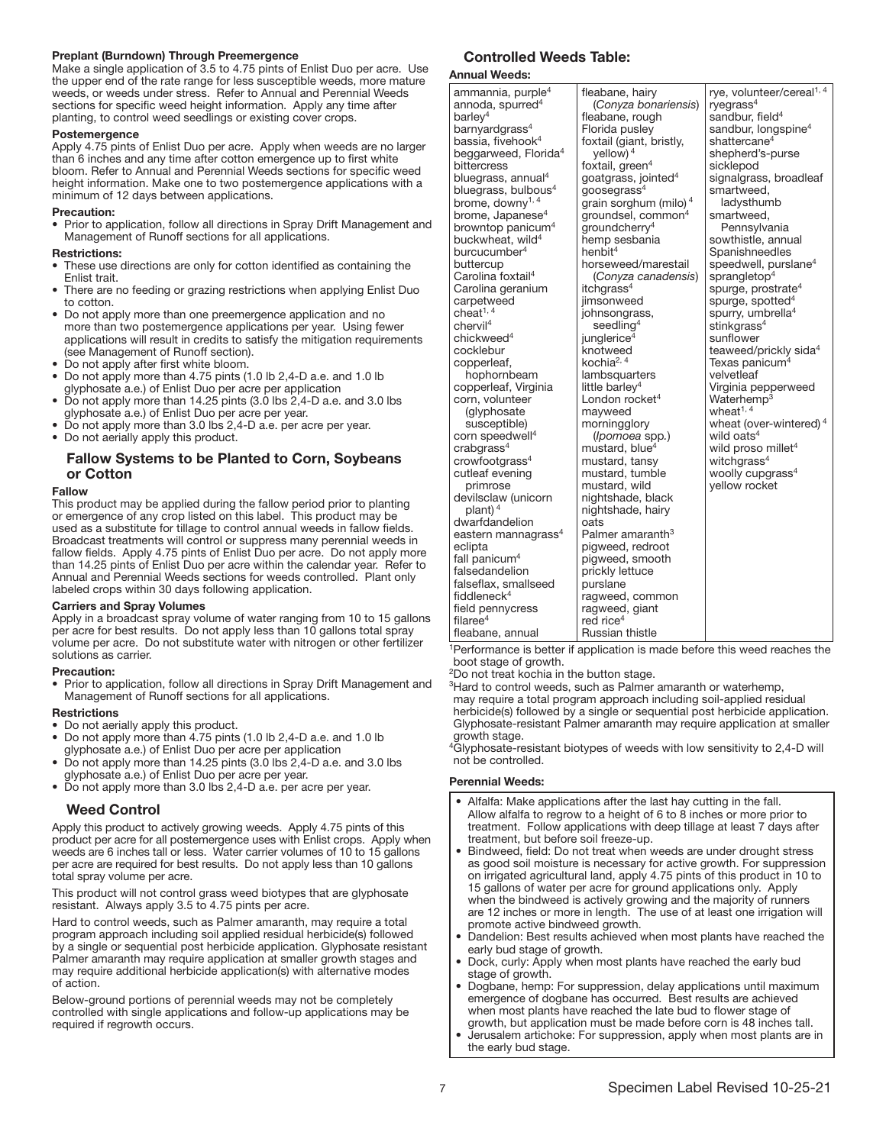#### Preplant (Burndown) Through Preemergence

Make a single application of 3.5 to 4.75 pints of Enlist Duo per acre. Use the upper end of the rate range for less susceptible weeds, more mature weeds, or weeds under stress. Refer to Annual and Perennial Weeds sections for specific weed height information. Apply any time after planting, to control weed seedlings or existing cover crops.

#### Postemergence

Apply 4.75 pints of Enlist Duo per acre. Apply when weeds are no larger than 6 inches and any time after cotton emergence up to first white bloom. Refer to Annual and Perennial Weeds sections for specific weed height information. Make one to two postemergence applications with a minimum of 12 days between applications.

#### Precaution:

• Prior to application, follow all directions in Spray Drift Management and Management of Runoff sections for all applications.

#### Restrictions:

- These use directions are only for cotton identified as containing the Enlist trait.
- There are no feeding or grazing restrictions when applying Enlist Duo to cotton.
- Do not apply more than one preemergence application and no more than two postemergence applications per year. Using fewer applications will result in credits to satisfy the mitigation requirements (see Management of Runoff section).
- Do not apply after first white bloom.
- Do not apply more than 4.75 pints (1.0 lb 2,4-D a.e. and 1.0 lb
- glyphosate a.e.) of Enlist Duo per acre per application • Do not apply more than 14.25 pints (3.0 lbs 2,4-D a.e. and 3.0 lbs
- glyphosate a.e.) of Enlist Duo per acre per year.
- Do not apply more than 3.0 lbs 2,4-D a.e. per acre per year.
- Do not aerially apply this product.

## Fallow Systems to be Planted to Corn, Soybeans or Cotton

#### Fallow

This product may be applied during the fallow period prior to planting or emergence of any crop listed on this label. This product may be used as a substitute for tillage to control annual weeds in fallow fields. Broadcast treatments will control or suppress many perennial weeds in fallow fields. Apply 4.75 pints of Enlist Duo per acre. Do not apply more than 14.25 pints of Enlist Duo per acre within the calendar year. Refer to Annual and Perennial Weeds sections for weeds controlled. Plant only labeled crops within 30 days following application.

#### Carriers and Spray Volumes

Apply in a broadcast spray volume of water ranging from 10 to 15 gallons per acre for best results. Do not apply less than 10 gallons total spray volume per acre. Do not substitute water with nitrogen or other fertilizer solutions as carrier.

#### Precaution:

• Prior to application, follow all directions in Spray Drift Management and Management of Runoff sections for all applications.

#### **Restrictions**

- Do not aerially apply this product.<br>• Do not apply more than 4.75 pints
- Do not apply more than 4.75 pints (1.0 lb 2,4-D a.e. and 1.0 lb glyphosate a.e.) of Enlist Duo per acre per application
- Do not apply more than 14.25 pints (3.0 lbs 2,4-D a.e. and 3.0 lbs glyphosate a.e.) of Enlist Duo per acre per year.
- Do not apply more than 3.0 lbs 2,4-D a.e. per acre per year.

#### Weed Control

Apply this product to actively growing weeds. Apply 4.75 pints of this product per acre for all postemergence uses with Enlist crops. Apply when weeds are 6 inches tall or less. Water carrier volumes of 10 to 15 gallons per acre are required for best results. Do not apply less than 10 gallons total spray volume per acre.

This product will not control grass weed biotypes that are glyphosate resistant. Always apply 3.5 to 4.75 pints per acre.

Hard to control weeds, such as Palmer amaranth, may require a total program approach including soil applied residual herbicide(s) followed by a single or sequential post herbicide application. Glyphosate resistant Palmer amaranth may require application at smaller growth stages and may require additional herbicide application(s) with alternative modes of action.

Below-ground portions of perennial weeds may not be completely controlled with single applications and follow-up applications may be required if regrowth occurs.

## Controlled Weeds Table:

#### Annual Weeds:

| ammannia, purple <sup>4</sup><br>annoda, spurred <sup>4</sup><br>barley <sup>4</sup><br>barnyardgrass <sup>4</sup><br>bassia, fivehook <sup>4</sup><br>beggarweed, Florida <sup>4</sup><br>bittercress<br>bluegrass, annual <sup>4</sup><br>bluegrass, bulbous <sup>4</sup><br>brome, downy <sup>1, 4</sup><br>brome, Japanese <sup>4</sup><br>browntop panicum <sup>4</sup><br>buckwheat, wild <sup>4</sup><br>burcucumber <sup>4</sup><br>buttercup<br>Carolina foxtail <sup>4</sup><br>Carolina geranium<br>carpetweed<br>cheat $1, 4$<br>chervil <sup>4</sup><br>chickweed <sup>4</sup><br>cocklebur<br>copperleaf,<br>hophornbeam<br>copperleaf, Virginia<br>corn, volunteer | fleabane, hairy<br>(Conyza bonariensis)<br>fleabane, rough<br>Florida pusley<br>foxtail (giant, bristly,<br>yellow) $4$<br>foxtail, green <sup>4</sup><br>goatgrass, jointed <sup>4</sup><br>goosegrass $4$<br>grain sorghum (milo) <sup>4</sup><br>groundsel, common <sup>4</sup><br>groundcherry <sup>4</sup><br>hemp sesbania<br>henbit <sup>4</sup><br>horseweed/marestail<br>(Conyza canadensis)<br>itchgrass <sup>4</sup><br>jimsonweed<br>johnsongrass,<br>seedling <sup>4</sup><br>junglerice <sup>4</sup><br>knotweed<br>kochia <sup>2, 4</sup><br>lambsquarters<br>little barley <sup>4</sup><br>London rocket <sup>4</sup> | rye, volunteer/cereal <sup>1, 4</sup><br>ryegrass $4$<br>sandbur, field <sup>4</sup><br>sandbur, longspine <sup>4</sup><br>shattercane <sup>4</sup><br>shepherd's-purse<br>sicklepod<br>signalgrass, broadleaf<br>smartweed,<br>ladysthumb<br>smartweed,<br>Pennsylvania<br>sowthistle, annual<br>Spanishneedles<br>speedwell, purslane <sup>4</sup><br>sprangletop <sup>4</sup><br>spurge, prostrate $4$<br>spurge, spotted <sup>4</sup><br>spurry, umbrella <sup>4</sup><br>stinkgrass <sup>4</sup><br>sunflower<br>teaweed/prickly sida <sup>4</sup><br>Texas panicum <sup>4</sup><br>velvetleaf<br>Virginia pepperweed<br>Waterhemp <sup>3</sup> |
|-----------------------------------------------------------------------------------------------------------------------------------------------------------------------------------------------------------------------------------------------------------------------------------------------------------------------------------------------------------------------------------------------------------------------------------------------------------------------------------------------------------------------------------------------------------------------------------------------------------------------------------------------------------------------------------|---------------------------------------------------------------------------------------------------------------------------------------------------------------------------------------------------------------------------------------------------------------------------------------------------------------------------------------------------------------------------------------------------------------------------------------------------------------------------------------------------------------------------------------------------------------------------------------------------------------------------------------|------------------------------------------------------------------------------------------------------------------------------------------------------------------------------------------------------------------------------------------------------------------------------------------------------------------------------------------------------------------------------------------------------------------------------------------------------------------------------------------------------------------------------------------------------------------------------------------------------------------------------------------------------|
| (glyphosate<br>susceptible)                                                                                                                                                                                                                                                                                                                                                                                                                                                                                                                                                                                                                                                       | mayweed<br>morningglory                                                                                                                                                                                                                                                                                                                                                                                                                                                                                                                                                                                                               | wheat <sup>1, 4</sup><br>wheat (over-wintered) <sup>4</sup>                                                                                                                                                                                                                                                                                                                                                                                                                                                                                                                                                                                          |
| corn speedwell <sup>4</sup>                                                                                                                                                                                                                                                                                                                                                                                                                                                                                                                                                                                                                                                       | (Ipomoea spp.)                                                                                                                                                                                                                                                                                                                                                                                                                                                                                                                                                                                                                        | wild oats ${}^4$                                                                                                                                                                                                                                                                                                                                                                                                                                                                                                                                                                                                                                     |
| crabgrass <sup>4</sup>                                                                                                                                                                                                                                                                                                                                                                                                                                                                                                                                                                                                                                                            | mustard, blue <sup>4</sup>                                                                                                                                                                                                                                                                                                                                                                                                                                                                                                                                                                                                            | wild proso millet <sup>4</sup>                                                                                                                                                                                                                                                                                                                                                                                                                                                                                                                                                                                                                       |
| crowfootgrass <sup>4</sup>                                                                                                                                                                                                                                                                                                                                                                                                                                                                                                                                                                                                                                                        | mustard, tansy                                                                                                                                                                                                                                                                                                                                                                                                                                                                                                                                                                                                                        | witchgrass <sup>4</sup>                                                                                                                                                                                                                                                                                                                                                                                                                                                                                                                                                                                                                              |
| cutleaf evening                                                                                                                                                                                                                                                                                                                                                                                                                                                                                                                                                                                                                                                                   | mustard, tumble                                                                                                                                                                                                                                                                                                                                                                                                                                                                                                                                                                                                                       | woolly cupgrass <sup>4</sup>                                                                                                                                                                                                                                                                                                                                                                                                                                                                                                                                                                                                                         |
| primrose                                                                                                                                                                                                                                                                                                                                                                                                                                                                                                                                                                                                                                                                          | mustard, wild                                                                                                                                                                                                                                                                                                                                                                                                                                                                                                                                                                                                                         | vellow rocket                                                                                                                                                                                                                                                                                                                                                                                                                                                                                                                                                                                                                                        |
| devilsclaw (unicorn<br>plant) $4$                                                                                                                                                                                                                                                                                                                                                                                                                                                                                                                                                                                                                                                 | nightshade, black<br>nightshade, hairy                                                                                                                                                                                                                                                                                                                                                                                                                                                                                                                                                                                                |                                                                                                                                                                                                                                                                                                                                                                                                                                                                                                                                                                                                                                                      |
| dwarfdandelion                                                                                                                                                                                                                                                                                                                                                                                                                                                                                                                                                                                                                                                                    | oats                                                                                                                                                                                                                                                                                                                                                                                                                                                                                                                                                                                                                                  |                                                                                                                                                                                                                                                                                                                                                                                                                                                                                                                                                                                                                                                      |
| eastern mannagrass <sup>4</sup>                                                                                                                                                                                                                                                                                                                                                                                                                                                                                                                                                                                                                                                   | Palmer amaranth <sup>3</sup>                                                                                                                                                                                                                                                                                                                                                                                                                                                                                                                                                                                                          |                                                                                                                                                                                                                                                                                                                                                                                                                                                                                                                                                                                                                                                      |
| eclipta                                                                                                                                                                                                                                                                                                                                                                                                                                                                                                                                                                                                                                                                           | pigweed, redroot                                                                                                                                                                                                                                                                                                                                                                                                                                                                                                                                                                                                                      |                                                                                                                                                                                                                                                                                                                                                                                                                                                                                                                                                                                                                                                      |
| fall panicum <sup>4</sup>                                                                                                                                                                                                                                                                                                                                                                                                                                                                                                                                                                                                                                                         | pigweed, smooth                                                                                                                                                                                                                                                                                                                                                                                                                                                                                                                                                                                                                       |                                                                                                                                                                                                                                                                                                                                                                                                                                                                                                                                                                                                                                                      |
| falsedandelion                                                                                                                                                                                                                                                                                                                                                                                                                                                                                                                                                                                                                                                                    | prickly lettuce                                                                                                                                                                                                                                                                                                                                                                                                                                                                                                                                                                                                                       |                                                                                                                                                                                                                                                                                                                                                                                                                                                                                                                                                                                                                                                      |
| falseflax, smallseed                                                                                                                                                                                                                                                                                                                                                                                                                                                                                                                                                                                                                                                              | purslane                                                                                                                                                                                                                                                                                                                                                                                                                                                                                                                                                                                                                              |                                                                                                                                                                                                                                                                                                                                                                                                                                                                                                                                                                                                                                                      |
| fiddlenec $k^4$                                                                                                                                                                                                                                                                                                                                                                                                                                                                                                                                                                                                                                                                   | ragweed, common                                                                                                                                                                                                                                                                                                                                                                                                                                                                                                                                                                                                                       |                                                                                                                                                                                                                                                                                                                                                                                                                                                                                                                                                                                                                                                      |
| field pennycress                                                                                                                                                                                                                                                                                                                                                                                                                                                                                                                                                                                                                                                                  | ragweed, giant                                                                                                                                                                                                                                                                                                                                                                                                                                                                                                                                                                                                                        |                                                                                                                                                                                                                                                                                                                                                                                                                                                                                                                                                                                                                                                      |
| filaree <sup>4</sup>                                                                                                                                                                                                                                                                                                                                                                                                                                                                                                                                                                                                                                                              | red rice <sup>4</sup>                                                                                                                                                                                                                                                                                                                                                                                                                                                                                                                                                                                                                 |                                                                                                                                                                                                                                                                                                                                                                                                                                                                                                                                                                                                                                                      |
| fleabane, annual                                                                                                                                                                                                                                                                                                                                                                                                                                                                                                                                                                                                                                                                  | Russian thistle                                                                                                                                                                                                                                                                                                                                                                                                                                                                                                                                                                                                                       |                                                                                                                                                                                                                                                                                                                                                                                                                                                                                                                                                                                                                                                      |

<sup>1</sup>Performance is better if application is made before this weed reaches the boot stage of growth.

2Do not treat kochia in the button stage.

<sup>3</sup>Hard to control weeds, such as Palmer amaranth or waterhemp, may require a total program approach including soil-applied residual herbicide(s) followed by a single or sequential post herbicide application. Glyphosate-resistant Palmer amaranth may require application at smaller growth stage.

<sup>4</sup>Glyphosate-resistant biotypes of weeds with low sensitivity to 2,4-D will not be controlled.

#### Perennial Weeds:

- Alfalfa: Make applications after the last hay cutting in the fall. Allow alfalfa to regrow to a height of 6 to 8 inches or more prior to treatment. Follow applications with deep tillage at least 7 days after treatment, but before soil freeze-up.
- Bindweed, field: Do not treat when weeds are under drought stress as good soil moisture is necessary for active growth. For suppression on irrigated agricultural land, apply 4.75 pints of this product in 10 to 15 gallons of water per acre for ground applications only. Apply when the bindweed is actively growing and the majority of runners are 12 inches or more in length. The use of at least one irrigation will promote active bindweed growth.
- Dandelion: Best results achieved when most plants have reached the early bud stage of growth.
- Dock, curly: Apply when most plants have reached the early bud stage of growth.
- Dogbane, hemp: For suppression, delay applications until maximum emergence of dogbane has occurred. Best results are achieved when most plants have reached the late bud to flower stage of growth, but application must be made before corn is 48 inches tall.
- Jerusalem artichoke: For suppression, apply when most plants are in the early bud stage.